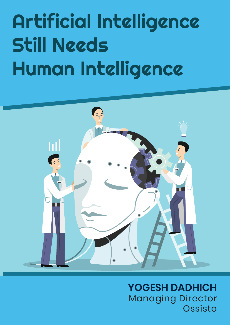# Artificial Intelligence Still Needs Human Intelligence



**YOGESH DADHICH**  Managing Director Ossisto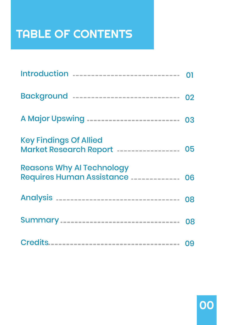# TABLE OF CONTENTS

| Introduction                                                             |    |
|--------------------------------------------------------------------------|----|
| Background -----------------------------                                 | 02 |
| A Major Upswing -------------------------                                | 03 |
| <b>Key Findings Of Allied</b><br>Market Research Report ---------------- | 05 |
| <b>Reasons Why AI Technology</b><br>Requires Human Assistance            | 06 |
| Analysis                                                                 | 08 |
| Summary                                                                  | 08 |
|                                                                          | 09 |

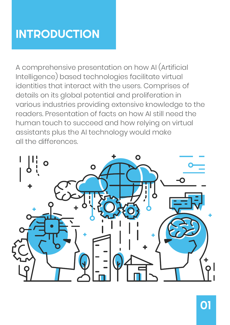### INTRODUCTION

A comprehensive presentation on how AI (Artificial Intelligence) based technologies facilitate virtual identities that interact with the users. Comprises of details on its global potential and proliferation in various industries providing extensive knowledge to the readers. Presentation of facts on how AI still need the human touch to succeed and how relying on virtual assistants plus the AI technology would make all the differences.

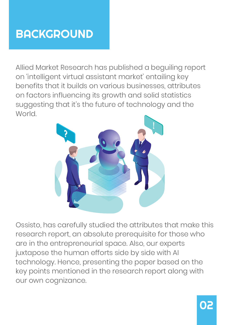### **BACKGROUND**

Allied Market Research has published a beguiling report on 'intelligent virtual assistant market' entailing key benefits that it builds on various businesses, attributes on factors influencing its growth and solid statistics suggesting that it's the future of technology and the **World** 



Ossisto, has carefully studied the attributes that make this research report, an absolute prerequisite for those who are in the entrepreneurial space. Also, our experts juxtapose the human efforts side by side with AI technology. Hence, presenting the paper based on the key points mentioned in the research report along with our own cognizance.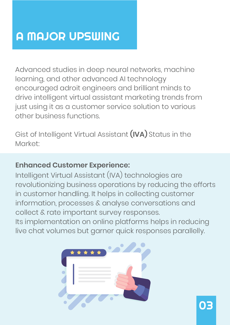### A MAJOR UPSWING

Advanced studies in deep neural networks, machine learning, and other advanced AI technology encouraged adroit engineers and brilliant minds to drive intelligent virtual assistant marketing trends from just using it as a customer service solution to various other business functions.

Gist of Intelligent Virtual Assistant **(IVA)** Status in the Market:

#### **Enhanced Customer Experience:**

Intelligent Virtual Assistant (IVA) technologies are revolutionizing business operations by reducing the efforts in customer handling. It helps in collecting customer information, processes & analyse conversations and collect & rate important survey responses.

Its implementation on online platforms helps in reducing live chat volumes but garner quick responses parallelly.

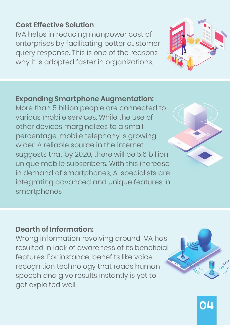#### **Cost Effective Solution**

IVA helps in reducing manpower cost of enterprises by facilitating better customer query response. This is one of the reasons why it is adopted faster in organizations.



#### **Expanding Smartphone Augmentation:**

More than 5 billion people are connected to various mobile services. While the use of other devices marginalizes to a small percentage, mobile telephony is growing wider. A reliable source in the internet suggests that by 2020, there will be 5.6 billion unique mobile subscribers. With this increase in demand of smartphones, AI specialists are integrating advanced and unique features in smartphones

#### **Dearth of Information:**

Wrong information revolving around IVA has resulted in lack of awareness of its beneficial features. For instance, benefits like voice recognition technology that reads human speech and give results instantly is yet to get exploited well.



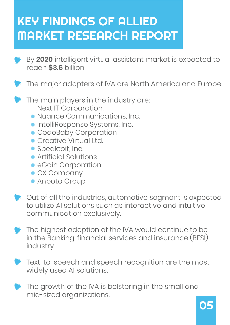## KEY FINDINGS OF ALLIED MARKET RESEARCH REPORT

- By **2020** intelligent virtual assistant market is expected to reach **\$3.6** billion
- The major adopters of IVA are North America and Europe
- The main players in the industry are: Next IT Corporation,
	- Nuance Communications, Inc.
	- **IntelliResponse Systems, Inc.**
	- **CodeBaby Corporation**
	- **Creative Virtual Ltd.**
	- **•** Speaktoit, Inc.
	- Artificial Solutions
	- **•** eGain Corporation
	- **CX Company**
	- Anboto Group Anboto Group
- Out of all the industries, automotive segment is expected to utilize AI solutions such as interactive and intuitive communication exclusively.
- The highest adoption of the IVA would continue to be in the Banking, financial services and insurance (BFSI) industry.
- Text-to-speech and speech recognition are the most widely used AI solutions.
- The growth of the IVA is bolstering in the small and mid-sized organizations.

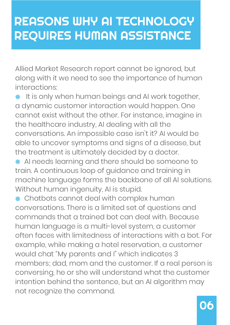### REASONS WHY AI TECHNOLOGY REQUIRES HUMAN ASSISTANCE

Allied Market Research report cannot be ignored, but along with it we need to see the importance of human interactions:

- It is only when human beings and AI work together, a dynamic customer interaction would happen. One cannot exist without the other. For instance, imagine in the healthcare industry, AI dealing with all the conversations. An impossible case isn't it? AI would be able to uncover symptoms and signs of a disease, but the treatment is ultimately decided by a doctor.
- AI needs learning and there should be someone to train. A continuous loop of guidance and training in machine language forms the backbone of all AI solutions. Without human ingenuity, AI is stupid.
- Chatbots cannot deal with complex human conversations. There is a limited set of questions and commands that a trained bot can deal with. Because human language is a multi-level system, a customer often faces with limitedness of interactions with a bot. For example, while making a hotel reservation, a customer would chat "My parents and I" which indicates 3 members; dad, mom and the customer. If a real person is conversing, he or she will understand what the customer intention behind the sentence, but an AI algorithm may not recognize the command.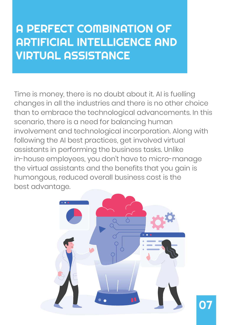### A PERFECT COMBINATION OF ARTIFICIAL INTELLIGENCE AND VIRTUAL ASSISTANCE

Time is money, there is no doubt about it. AI is fuelling changes in all the industries and there is no other choice than to embrace the technological advancements. In this scenario, there is a need for balancing human involvement and technological incorporation. Along with following the AI best practices, get involved virtual assistants in performing the business tasks. Unlike in-house employees, you don't have to micro-manage the virtual assistants and the benefits that you gain is humongous, reduced overall business cost is the best advantage.



07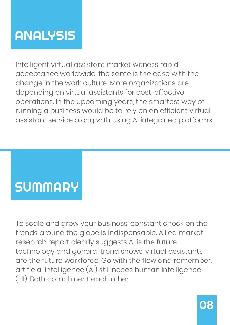# **ANALYSIS**

Intelligent virtual assistant market witness rapid acceptance worldwide, the same is the case with the change in the work culture. More organizations are depending on virtual assistants for cost-effective operations. In the upcoming years, the smartest way of running a business would be to rely on an efficient virtual assistant service along with using AI integrated platforms.

# **SUMMARY**

To scale and grow your business, constant check on the trends around the globe is indispensable. Allied market research report clearly suggests AI is the future technology and general trend shows, virtual assistants are the future workforce. Go with the flow and remember, artificial intelligence (AI) still needs human intelligence (HI). Both compliment each other.